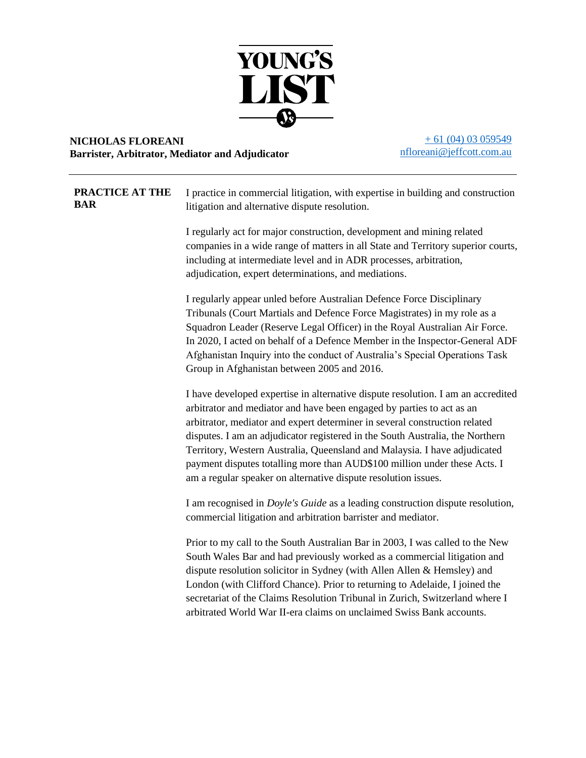

## **NICHOLAS FLOREANI Barrister, Arbitrator, Mediator and Adjudicator**

 $+ 61 (04) 03 059549$ [nfloreani@jeffcott.com.au](mailto:nfloreani@jeffcott.com.au)

| PRACTICE AT THE<br>BAR | I practice in commercial litigation, with expertise in building and construction<br>litigation and alternative dispute resolution.                                                                                                                                                                                                                                                                                                                                                                                                                   |
|------------------------|------------------------------------------------------------------------------------------------------------------------------------------------------------------------------------------------------------------------------------------------------------------------------------------------------------------------------------------------------------------------------------------------------------------------------------------------------------------------------------------------------------------------------------------------------|
|                        | I regularly act for major construction, development and mining related<br>companies in a wide range of matters in all State and Territory superior courts,<br>including at intermediate level and in ADR processes, arbitration,<br>adjudication, expert determinations, and mediations.                                                                                                                                                                                                                                                             |
|                        | I regularly appear unled before Australian Defence Force Disciplinary<br>Tribunals (Court Martials and Defence Force Magistrates) in my role as a<br>Squadron Leader (Reserve Legal Officer) in the Royal Australian Air Force.<br>In 2020, I acted on behalf of a Defence Member in the Inspector-General ADF<br>Afghanistan Inquiry into the conduct of Australia's Special Operations Task<br>Group in Afghanistan between 2005 and 2016.                                                                                                         |
|                        | I have developed expertise in alternative dispute resolution. I am an accredited<br>arbitrator and mediator and have been engaged by parties to act as an<br>arbitrator, mediator and expert determiner in several construction related<br>disputes. I am an adjudicator registered in the South Australia, the Northern<br>Territory, Western Australia, Queensland and Malaysia. I have adjudicated<br>payment disputes totalling more than AUD\$100 million under these Acts. I<br>am a regular speaker on alternative dispute resolution issues. |
|                        | I am recognised in <i>Doyle's Guide</i> as a leading construction dispute resolution,<br>commercial litigation and arbitration barrister and mediator.                                                                                                                                                                                                                                                                                                                                                                                               |
|                        | Prior to my call to the South Australian Bar in 2003, I was called to the New<br>South Wales Bar and had previously worked as a commercial litigation and<br>dispute resolution solicitor in Sydney (with Allen Allen & Hemsley) and<br>London (with Clifford Chance). Prior to returning to Adelaide, I joined the<br>secretariat of the Claims Resolution Tribunal in Zurich, Switzerland where I<br>arbitrated World War II-era claims on unclaimed Swiss Bank accounts.                                                                          |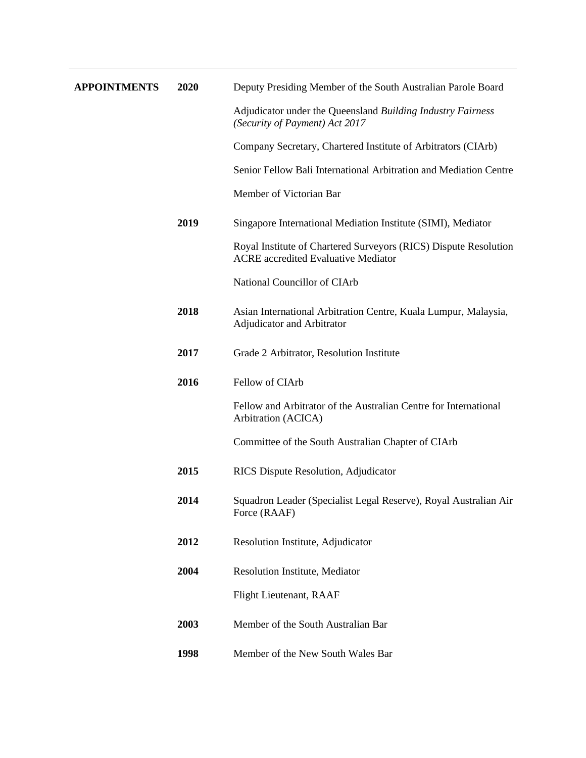| <b>APPOINTMENTS</b> | 2020 | Deputy Presiding Member of the South Australian Parole Board                                                   |
|---------------------|------|----------------------------------------------------------------------------------------------------------------|
|                     |      | Adjudicator under the Queensland Building Industry Fairness<br>(Security of Payment) Act 2017                  |
|                     |      | Company Secretary, Chartered Institute of Arbitrators (CIArb)                                                  |
|                     |      | Senior Fellow Bali International Arbitration and Mediation Centre                                              |
|                     |      | Member of Victorian Bar                                                                                        |
|                     | 2019 | Singapore International Mediation Institute (SIMI), Mediator                                                   |
|                     |      | Royal Institute of Chartered Surveyors (RICS) Dispute Resolution<br><b>ACRE</b> accredited Evaluative Mediator |
|                     |      | National Councillor of CIArb                                                                                   |
|                     | 2018 | Asian International Arbitration Centre, Kuala Lumpur, Malaysia,<br>Adjudicator and Arbitrator                  |
|                     | 2017 | Grade 2 Arbitrator, Resolution Institute                                                                       |
|                     | 2016 | Fellow of CIArb                                                                                                |
|                     |      | Fellow and Arbitrator of the Australian Centre for International<br>Arbitration (ACICA)                        |
|                     |      | Committee of the South Australian Chapter of CIArb                                                             |
|                     | 2015 | RICS Dispute Resolution, Adjudicator                                                                           |
|                     | 2014 | Squadron Leader (Specialist Legal Reserve), Royal Australian Air<br>Force (RAAF)                               |
|                     | 2012 | Resolution Institute, Adjudicator                                                                              |
|                     | 2004 | Resolution Institute, Mediator                                                                                 |
|                     |      | Flight Lieutenant, RAAF                                                                                        |
|                     | 2003 | Member of the South Australian Bar                                                                             |
|                     | 1998 | Member of the New South Wales Bar                                                                              |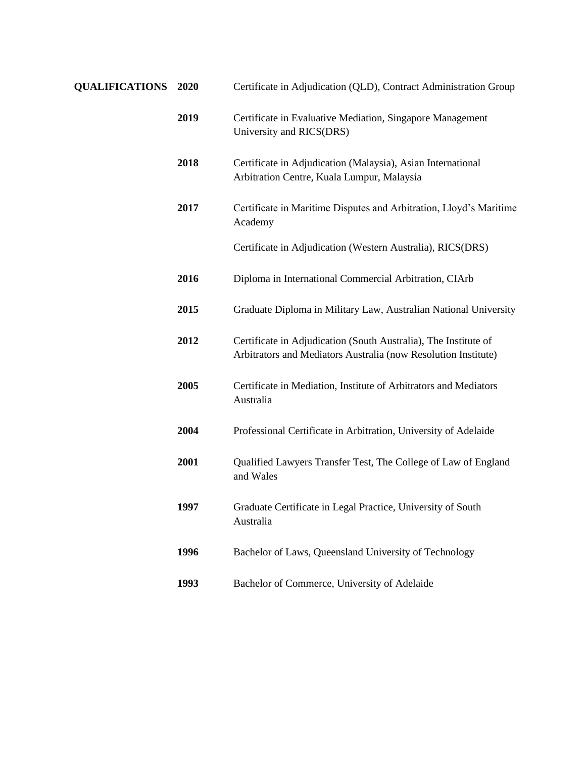| <b>QUALIFICATIONS 2020</b> |      | Certificate in Adjudication (QLD), Contract Administration Group                                                                  |
|----------------------------|------|-----------------------------------------------------------------------------------------------------------------------------------|
|                            | 2019 | Certificate in Evaluative Mediation, Singapore Management<br>University and RICS(DRS)                                             |
|                            | 2018 | Certificate in Adjudication (Malaysia), Asian International<br>Arbitration Centre, Kuala Lumpur, Malaysia                         |
|                            | 2017 | Certificate in Maritime Disputes and Arbitration, Lloyd's Maritime<br>Academy                                                     |
|                            |      | Certificate in Adjudication (Western Australia), RICS(DRS)                                                                        |
|                            | 2016 | Diploma in International Commercial Arbitration, CIArb                                                                            |
|                            | 2015 | Graduate Diploma in Military Law, Australian National University                                                                  |
|                            | 2012 | Certificate in Adjudication (South Australia), The Institute of<br>Arbitrators and Mediators Australia (now Resolution Institute) |
|                            | 2005 | Certificate in Mediation, Institute of Arbitrators and Mediators<br>Australia                                                     |
|                            | 2004 | Professional Certificate in Arbitration, University of Adelaide                                                                   |
|                            | 2001 | Qualified Lawyers Transfer Test, The College of Law of England<br>and Wales                                                       |
|                            | 1997 | Graduate Certificate in Legal Practice, University of South<br>Australia                                                          |
|                            | 1996 | Bachelor of Laws, Queensland University of Technology                                                                             |
|                            | 1993 | Bachelor of Commerce, University of Adelaide                                                                                      |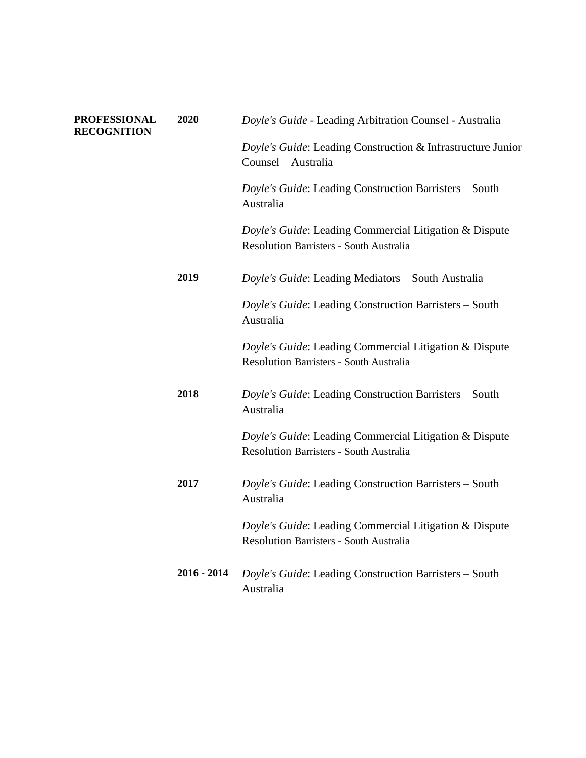| <b>PROFESSIONAL</b><br><b>RECOGNITION</b> | 2020          | Doyle's Guide - Leading Arbitration Counsel - Australia                                                  |
|-------------------------------------------|---------------|----------------------------------------------------------------------------------------------------------|
|                                           |               | Doyle's Guide: Leading Construction & Infrastructure Junior<br>Counsel - Australia                       |
|                                           |               | Doyle's Guide: Leading Construction Barristers - South<br>Australia                                      |
|                                           |               | Doyle's Guide: Leading Commercial Litigation & Dispute<br><b>Resolution Barristers - South Australia</b> |
|                                           | 2019          | Doyle's Guide: Leading Mediators - South Australia                                                       |
|                                           |               | Doyle's Guide: Leading Construction Barristers - South<br>Australia                                      |
|                                           |               | Doyle's Guide: Leading Commercial Litigation & Dispute<br><b>Resolution Barristers - South Australia</b> |
|                                           | 2018          | Doyle's Guide: Leading Construction Barristers - South<br>Australia                                      |
|                                           |               | Doyle's Guide: Leading Commercial Litigation & Dispute<br>Resolution Barristers - South Australia        |
|                                           | 2017          | Doyle's Guide: Leading Construction Barristers - South<br>Australia                                      |
|                                           |               | Doyle's Guide: Leading Commercial Litigation & Dispute<br><b>Resolution Barristers - South Australia</b> |
|                                           | $2016 - 2014$ | Doyle's Guide: Leading Construction Barristers - South<br>Australia                                      |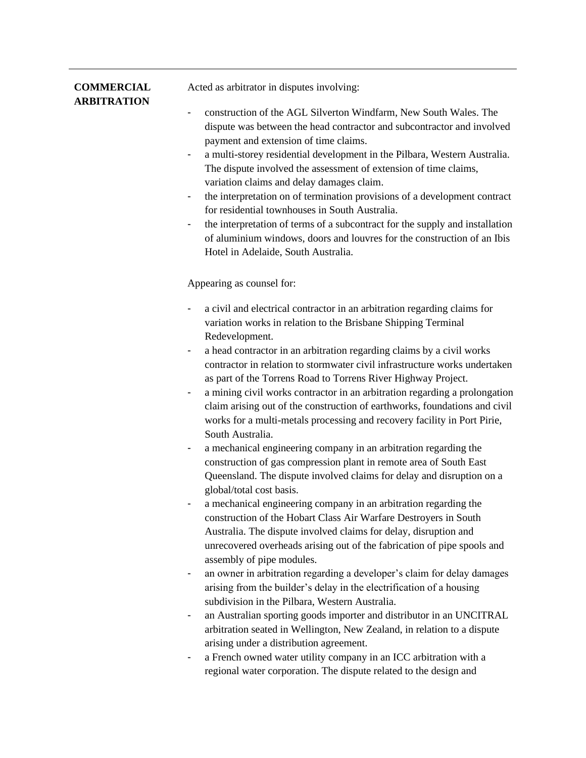| <b>COMMERCIAL</b><br><b>ARBITRATION</b> | Acted as arbitrator in disputes involving:                                                                                                                                                                                                                                                                                                                                                                                                                                                                                                                                                                                                                                                                                                                                                                                                                                                     |
|-----------------------------------------|------------------------------------------------------------------------------------------------------------------------------------------------------------------------------------------------------------------------------------------------------------------------------------------------------------------------------------------------------------------------------------------------------------------------------------------------------------------------------------------------------------------------------------------------------------------------------------------------------------------------------------------------------------------------------------------------------------------------------------------------------------------------------------------------------------------------------------------------------------------------------------------------|
|                                         | construction of the AGL Silverton Windfarm, New South Wales. The<br>dispute was between the head contractor and subcontractor and involved<br>payment and extension of time claims.<br>a multi-storey residential development in the Pilbara, Western Australia.<br>The dispute involved the assessment of extension of time claims,<br>variation claims and delay damages claim.<br>the interpretation on of termination provisions of a development contract<br>-<br>for residential townhouses in South Australia.<br>the interpretation of terms of a subcontract for the supply and installation<br>-<br>of aluminium windows, doors and louvres for the construction of an Ibis<br>Hotel in Adelaide, South Australia.                                                                                                                                                                   |
|                                         | Appearing as counsel for:                                                                                                                                                                                                                                                                                                                                                                                                                                                                                                                                                                                                                                                                                                                                                                                                                                                                      |
|                                         | a civil and electrical contractor in an arbitration regarding claims for<br>variation works in relation to the Brisbane Shipping Terminal<br>Redevelopment.<br>a head contractor in an arbitration regarding claims by a civil works<br>$\overline{\phantom{a}}$<br>contractor in relation to stormwater civil infrastructure works undertaken<br>as part of the Torrens Road to Torrens River Highway Project.<br>a mining civil works contractor in an arbitration regarding a prolongation<br>claim arising out of the construction of earthworks, foundations and civil<br>works for a multi-metals processing and recovery facility in Port Pirie,<br>South Australia.<br>a mechanical engineering company in an arbitration regarding the<br>construction of gas compression plant in remote area of South East<br>Queensland. The dispute involved claims for delay and disruption on a |
|                                         | global/total cost basis.<br>a mechanical engineering company in an arbitration regarding the<br>construction of the Hobart Class Air Warfare Destroyers in South<br>Australia. The dispute involved claims for delay, disruption and<br>unrecovered overheads arising out of the fabrication of pipe spools and<br>assembly of pipe modules.<br>an owner in arbitration regarding a developer's claim for delay damages<br>-                                                                                                                                                                                                                                                                                                                                                                                                                                                                   |
|                                         | arising from the builder's delay in the electrification of a housing<br>subdivision in the Pilbara, Western Australia.                                                                                                                                                                                                                                                                                                                                                                                                                                                                                                                                                                                                                                                                                                                                                                         |
|                                         | an Australian sporting goods importer and distributor in an UNCITRAL<br>arbitration seated in Wellington, New Zealand, in relation to a dispute<br>arising under a distribution agreement.                                                                                                                                                                                                                                                                                                                                                                                                                                                                                                                                                                                                                                                                                                     |

- a French owned water utility company in an ICC arbitration with a regional water corporation. The dispute related to the design and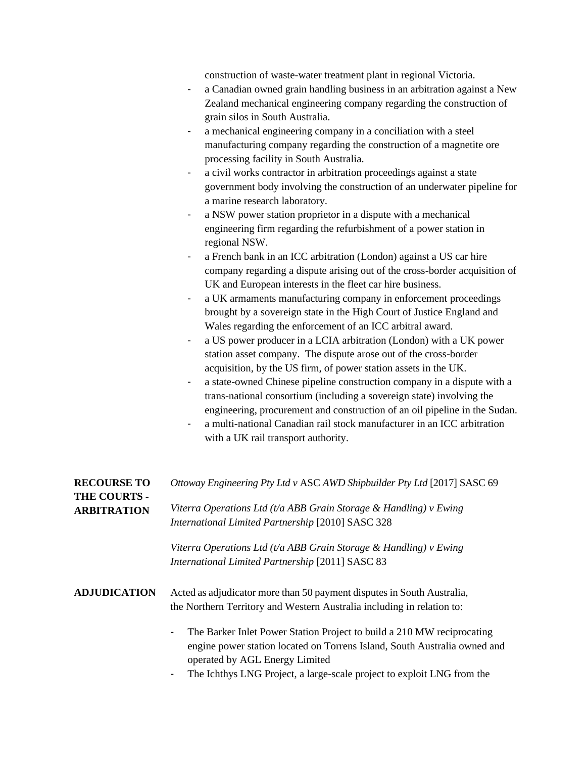construction of waste-water treatment plant in regional Victoria.

- a Canadian owned grain handling business in an arbitration against a New Zealand mechanical engineering company regarding the construction of grain silos in South Australia.
- a mechanical engineering company in a conciliation with a steel manufacturing company regarding the construction of a magnetite ore processing facility in South Australia.
- a civil works contractor in arbitration proceedings against a state government body involving the construction of an underwater pipeline for a marine research laboratory.
- a NSW power station proprietor in a dispute with a mechanical engineering firm regarding the refurbishment of a power station in regional NSW.
- a French bank in an ICC arbitration (London) against a US car hire company regarding a dispute arising out of the cross-border acquisition of UK and European interests in the fleet car hire business.
- a UK armaments manufacturing company in enforcement proceedings brought by a sovereign state in the High Court of Justice England and Wales regarding the enforcement of an ICC arbitral award.
- a US power producer in a LCIA arbitration (London) with a UK power station asset company. The dispute arose out of the cross-border acquisition, by the US firm, of power station assets in the UK.
- a state-owned Chinese pipeline construction company in a dispute with a trans-national consortium (including a sovereign state) involving the engineering, procurement and construction of an oil pipeline in the Sudan.
- a multi-national Canadian rail stock manufacturer in an ICC arbitration with a UK rail transport authority.

| <b>RECOURSE TO</b><br><b>THE COURTS -</b> | Ottoway Engineering Pty Ltd v ASC AWD Shipbuilder Pty Ltd [2017] SASC 69                                                                                                                                |
|-------------------------------------------|---------------------------------------------------------------------------------------------------------------------------------------------------------------------------------------------------------|
| <b>ARBITRATION</b>                        | Viterra Operations Ltd (t/a ABB Grain Storage & Handling) $\nu$ Ewing<br>International Limited Partnership [2010] SASC 328                                                                              |
|                                           | Viterra Operations Ltd (t/a ABB Grain Storage & Handling) v Ewing<br>International Limited Partnership [2011] SASC 83                                                                                   |
| <b>ADJUDICATION</b>                       | Acted as adjudicator more than 50 payment disputes in South Australia,<br>the Northern Territory and Western Australia including in relation to:                                                        |
|                                           | The Barker Inlet Power Station Project to build a 210 MW reciprocating<br>$\blacksquare$<br>engine power station located on Torrens Island, South Australia owned and<br>operated by AGL Energy Limited |

The Ichthys LNG Project, a large-scale project to exploit LNG from the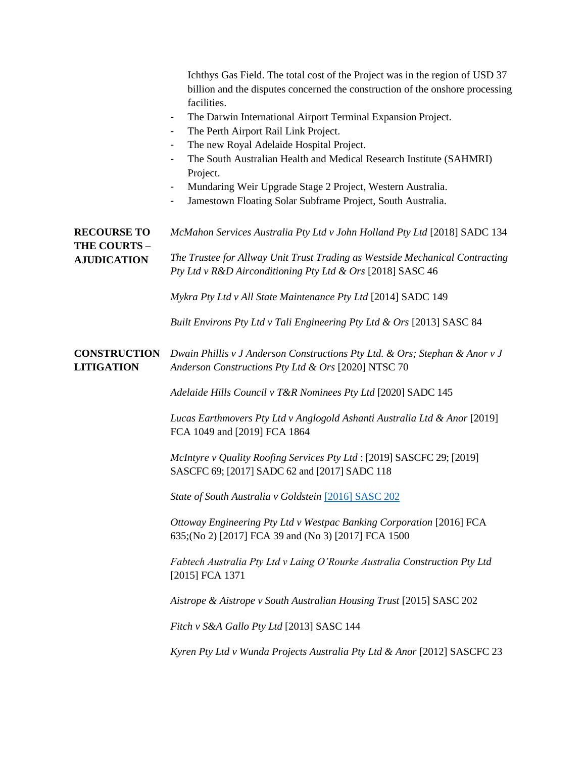|                                                                 | Ichthys Gas Field. The total cost of the Project was in the region of USD 37<br>billion and the disputes concerned the construction of the onshore processing<br>facilities.<br>The Darwin International Airport Terminal Expansion Project.<br>$\blacksquare$<br>The Perth Airport Rail Link Project.<br>The new Royal Adelaide Hospital Project.<br>$\overline{\phantom{a}}$<br>The South Australian Health and Medical Research Institute (SAHMRI)<br>-<br>Project.<br>Mundaring Weir Upgrade Stage 2 Project, Western Australia.<br>$\overline{\phantom{0}}$<br>Jamestown Floating Solar Subframe Project, South Australia.<br>$\blacksquare$ |
|-----------------------------------------------------------------|---------------------------------------------------------------------------------------------------------------------------------------------------------------------------------------------------------------------------------------------------------------------------------------------------------------------------------------------------------------------------------------------------------------------------------------------------------------------------------------------------------------------------------------------------------------------------------------------------------------------------------------------------|
| <b>RECOURSE TO</b><br><b>THE COURTS -</b><br><b>AJUDICATION</b> | McMahon Services Australia Pty Ltd v John Holland Pty Ltd [2018] SADC 134<br>The Trustee for Allway Unit Trust Trading as Westside Mechanical Contracting<br>Pty Ltd v R&D Airconditioning Pty Ltd & Ors [2018] SASC 46<br>Mykra Pty Ltd v All State Maintenance Pty Ltd [2014] SADC 149                                                                                                                                                                                                                                                                                                                                                          |
|                                                                 | Built Environs Pty Ltd v Tali Engineering Pty Ltd & Ors [2013] SASC 84                                                                                                                                                                                                                                                                                                                                                                                                                                                                                                                                                                            |
| <b>CONSTRUCTION</b><br><b>LITIGATION</b>                        | Dwain Phillis v J Anderson Constructions Pty Ltd. & Ors; Stephan & Anor v J<br>Anderson Constructions Pty Ltd & Ors [2020] NTSC 70                                                                                                                                                                                                                                                                                                                                                                                                                                                                                                                |
|                                                                 | Adelaide Hills Council v T&R Nominees Pty Ltd [2020] SADC 145                                                                                                                                                                                                                                                                                                                                                                                                                                                                                                                                                                                     |
|                                                                 | Lucas Earthmovers Pty Ltd v Anglogold Ashanti Australia Ltd & Anor [2019]<br>FCA 1049 and [2019] FCA 1864                                                                                                                                                                                                                                                                                                                                                                                                                                                                                                                                         |
|                                                                 | McIntyre v Quality Roofing Services Pty Ltd : [2019] SASCFC 29; [2019]<br>SASCFC 69; [2017] SADC 62 and [2017] SADC 118                                                                                                                                                                                                                                                                                                                                                                                                                                                                                                                           |
|                                                                 | State of South Australia v Goldstein [2016] SASC 202                                                                                                                                                                                                                                                                                                                                                                                                                                                                                                                                                                                              |
|                                                                 | Ottoway Engineering Pty Ltd v Westpac Banking Corporation [2016] FCA<br>635; (No 2) [2017] FCA 39 and (No 3) [2017] FCA 1500                                                                                                                                                                                                                                                                                                                                                                                                                                                                                                                      |
|                                                                 | Fabtech Australia Pty Ltd v Laing O'Rourke Australia Construction Pty Ltd<br>[2015] FCA 1371                                                                                                                                                                                                                                                                                                                                                                                                                                                                                                                                                      |
|                                                                 | Aistrope & Aistrope v South Australian Housing Trust [2015] SASC 202                                                                                                                                                                                                                                                                                                                                                                                                                                                                                                                                                                              |
|                                                                 | Fitch v S&A Gallo Pty Ltd [2013] SASC 144                                                                                                                                                                                                                                                                                                                                                                                                                                                                                                                                                                                                         |
|                                                                 | Kyren Pty Ltd v Wunda Projects Australia Pty Ltd & Anor [2012] SASCFC 23                                                                                                                                                                                                                                                                                                                                                                                                                                                                                                                                                                          |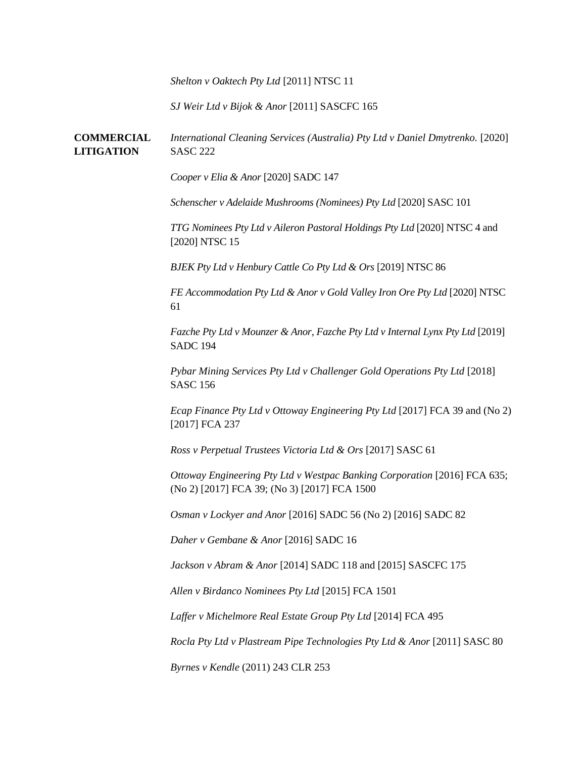*Shelton v Oaktech Pty Ltd* [2011] NTSC 11

*SJ Weir Ltd v Bijok & Anor* [2011] SASCFC 165

**COMMERCIAL LITIGATION** *International Cleaning Services (Australia) Pty Ltd v Daniel Dmytrenko.* [2020] SASC 222

*Cooper v Elia & Anor* [2020] SADC 147

*Schenscher v Adelaide Mushrooms (Nominees) Pty Ltd* [2020] SASC 101

*TTG Nominees Pty Ltd v Aileron Pastoral Holdings Pty Ltd* [2020] NTSC 4 and [2020] NTSC 15

*BJEK Pty Ltd v Henbury Cattle Co Pty Ltd & Ors* [2019] NTSC 86

*FE Accommodation Pty Ltd & Anor v Gold Valley Iron Ore Pty Ltd* [2020] NTSC 61

*Fazche Pty Ltd v Mounzer & Anor, Fazche Pty Ltd v Internal Lynx Pty Ltd* [2019] SADC 194

*Pybar Mining Services Pty Ltd v Challenger Gold Operations Pty Ltd* [2018] SASC 156

*Ecap Finance Pty Ltd v Ottoway Engineering Pty Ltd* [2017] FCA 39 and (No 2) [2017] FCA 237

*Ross v Perpetual Trustees Victoria Ltd & Ors* [2017] SASC 61

*Ottoway Engineering Pty Ltd v Westpac Banking Corporation* [2016] FCA 635; (No 2) [2017] FCA 39; (No 3) [2017] FCA 1500

*Osman v Lockyer and Anor* [2016] SADC 56 (No 2) [2016] SADC 82

*Daher v Gembane & Anor* [2016] SADC 16

*Jackson v Abram & Anor* [2014] SADC 118 and [2015] SASCFC 175

*Allen v Birdanco Nominees Pty Ltd* [2015] FCA 1501

*Laffer v Michelmore Real Estate Group Pty Ltd* [2014] FCA 495

*Rocla Pty Ltd v Plastream Pipe Technologies Pty Ltd & Anor* [2011] SASC 80

*Byrnes v Kendle* (2011) 243 CLR 253